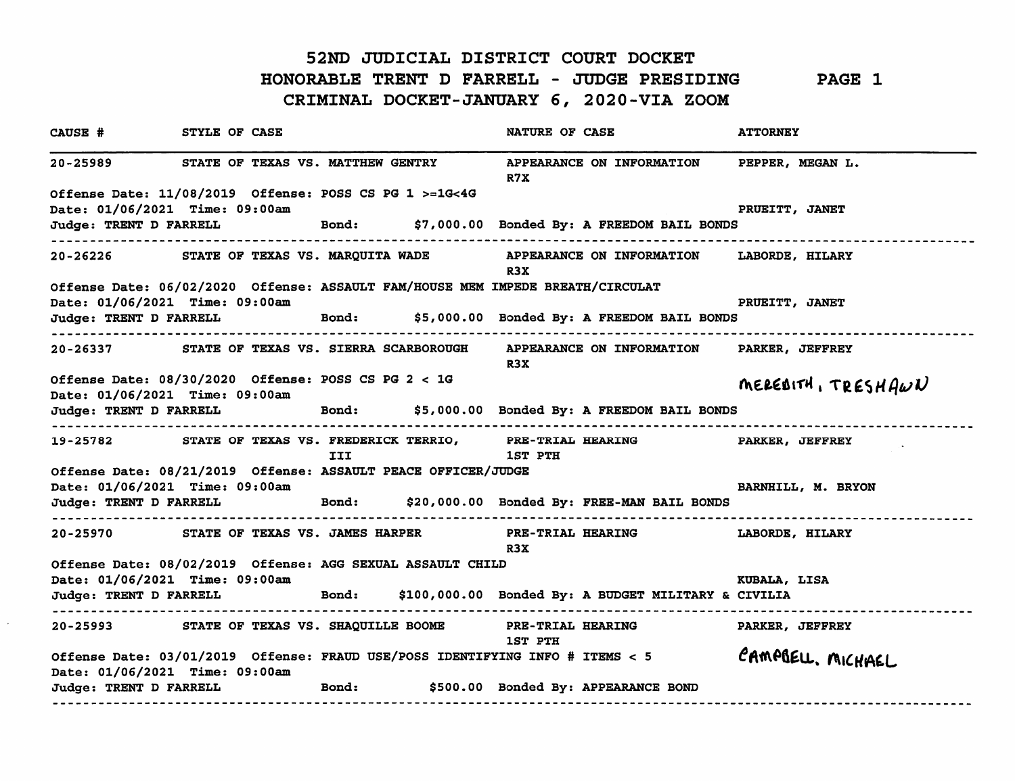## 52ND JUDICIAL DISTRICT COURT DOCKET HONORABLE TRENT D FARRELL - JUDGE PRESIDING PAGE 1 CRIMINAL DOCKET-JANUARY 6, 2020-VIA ZOOM

CAUSE # STYLE OF CASE NATURE OF CASE ATTORNEY 20-25989 STATE OF TEXAS VS. MATTHEW GENTRY APPEARANCE ON INFORMATION PEPPER, MEGAN L. R7X 0££ense Date: 11/08/2019 0££ense: POSS CS PG 1 >=1G<4G Date: 01/06/2021 Time: 09:00am PRUEITT, JANET Judge: TRENT D FARRELL Bond: \$7,000.00 Bonded By: A FREEDOM BAIL BONDS 20-26226 STATE OF TEXAS VS. MARQUITA WADE APPEARANCE ON INFORMATION LABORDE, HILARY R3X 0££ense Date: 06/02/2020 0££ense: ASSAULT FAM/HOUSE MEM IMPEDE BREATH/CIRCULAT Date: 01/06/2021 Time: 09:00am PRUEITT, JANET Judge: TRENT D FARRELL Bond: \$5,000.00 Bonded By: A FREEDOM BAIL BONDS 20-26337 STATE OF TEXAS VS. SIERRA SCARBOROUGH APPEARANCE ON INFORMATION PARKER, JEFFREY R3X Offense Date: 08/30/2020 Offense: POSS CS PG 2 < 1G<br>  $MEEB1TH, TEESHAU$ Date: 01/06/2021 Time: 09:00am \* Judge: TRENT D FARRELL Bond: \$5,000.00 Bonded By: A FREEDOM BAIL BONDS 19-25782 STATE OF TEXAS VS. FREDERICK TERRIO, PRE-TRIAL HEARING PARKER, JEFFREY III 1ST PTH 0££ense Date: 08/21/2019 0££ense: ASSAULT PEACE OFFICER/JUDGE Date: 01/06/2021 Time: 09:00am BARNHILL, M. BRYON Judge: TRENT D FARRELL Bond: \$20,000.00 Bonded By: FREE-MAN BAIL BONDS 20-25970 STATE OF TEXAS VS. JAMES HARPER PRE-TRIAL HEARING LABORDE, HILARY R3X 0££ense Date: 08/02/2019 0££ense: AGG SEXUAL ASSAULT CHILD Date: 01/06/2021 Time: 09:00am **KUBALA, LISA** Judge: TRENT D FARRELL Bond: \$100,000.00 Bonded By: A BUDGET MILITARY & CIVILIA 20-25993 STATE OF TEXAS VS. SHAQUILLE BOOME PRE-TRIAL HEARING PARKER, JEFFREY 1ST PTH CAMPBELL. MICHAEL 0££ense Date: 03/01/2019 0££ense: FRAUD USE/POSS IDENTIFYING INFO # ITEMS < 5 Date: 01/06/2021 Time: 09:00am Judge: TRENT D FARRELL Bond: \$500.00 Bonded By: APPEARANCE BOND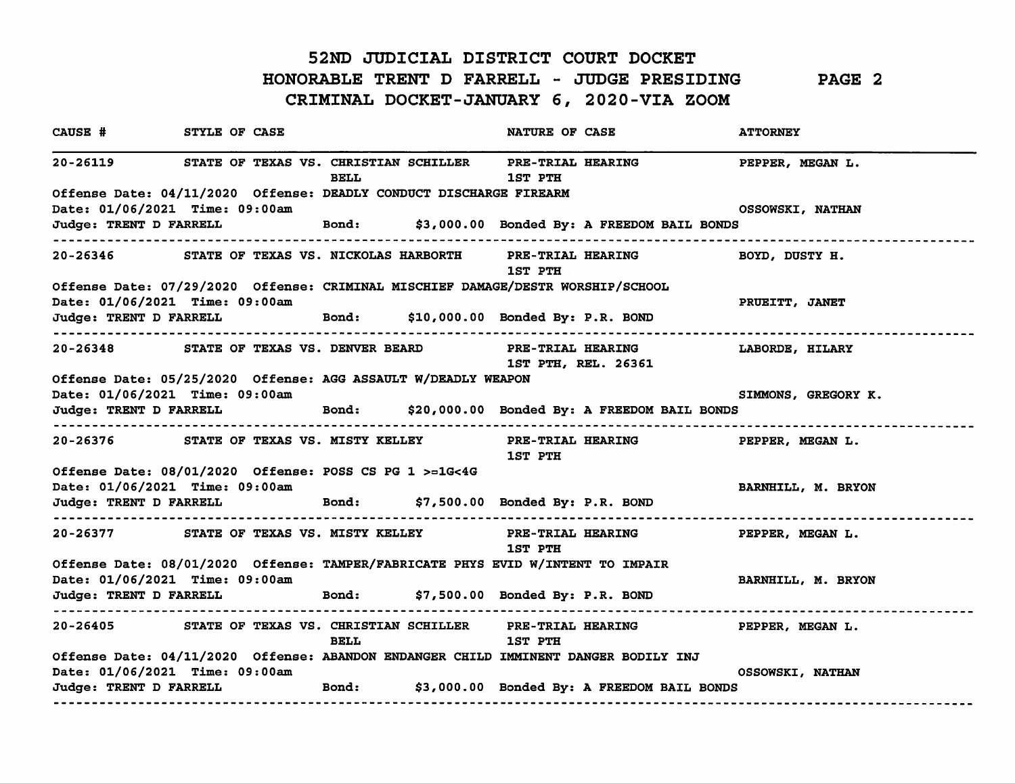## 52ND JUDICIAL DISTRICT COURT DOCKET HONORABLE TRENT D FARRELL - JUDGE PRESIDING PAGE 2 CRIMINAL DOCKET-JANUARY 6, 2020-VIA ZOOM

| CAUSE # STYLE OF CASE                                                                                             |                                                                                                |                                                                                 |  | <b>NATURE OF CASE</b> |                                                                                   | <b>ATTORNEY</b>         |
|-------------------------------------------------------------------------------------------------------------------|------------------------------------------------------------------------------------------------|---------------------------------------------------------------------------------|--|-----------------------|-----------------------------------------------------------------------------------|-------------------------|
|                                                                                                                   |                                                                                                | <b>BELL</b>                                                                     |  | 1ST PTH               | 20-26119 STATE OF TEXAS VS. CHRISTIAN SCHILLER PRE-TRIAL HEARING PEPPER, MEGAN L. |                         |
| Offense Date: 04/11/2020 Offense: DEADLY CONDUCT DISCHARGE FIREARM                                                |                                                                                                |                                                                                 |  |                       |                                                                                   |                         |
|                                                                                                                   | Date: 01/06/2021 Time: 09:00am                                                                 |                                                                                 |  |                       |                                                                                   | OSSOWSKI, NATHAN        |
| ---------------------                                                                                             |                                                                                                |                                                                                 |  |                       | Judge: TRENT D FARRELL Bond: \$3,000.00 Bonded By: A FREEDOM BAIL BONDS           |                         |
|                                                                                                                   |                                                                                                |                                                                                 |  | 1ST PTH               | 20-26346 STATE OF TEXAS VS. NICKOLAS HARBORTH PRE-TRIAL HEARING BOYD, DUSTY H.    |                         |
| Offense Date: 07/29/2020 Offense: CRIMINAL MISCHIEF DAMAGE/DESTR WORSHIP/SCHOOL<br>Date: 01/06/2021 Time: 09:00am |                                                                                                |                                                                                 |  |                       |                                                                                   |                         |
| ----------------------------------                                                                                | Judge: TRENT D FARRELL Bond: \$10,000.00 Bonded By: P.R. BOND                                  |                                                                                 |  |                       |                                                                                   | PRUEITT, JANET          |
|                                                                                                                   | 20-26348 STATE OF TEXAS VS. DENVER BEARD PRE-TRIAL HEARING                                     |                                                                                 |  |                       | <b>1ST PTH, REL. 26361</b>                                                        | LABORDE, HILARY         |
| Offense Date: 05/25/2020 Offense: AGG ASSAULT W/DEADLY WEAPON                                                     |                                                                                                |                                                                                 |  |                       |                                                                                   |                         |
| Date: 01/06/2021 Time: 09:00am                                                                                    |                                                                                                |                                                                                 |  |                       |                                                                                   | SIMMONS, GREGORY K.     |
|                                                                                                                   |                                                                                                |                                                                                 |  |                       | Judge: TRENT D FARRELL Bond: \$20,000.00 Bonded By: A FREEDOM BAIL BONDS          |                         |
|                                                                                                                   |                                                                                                |                                                                                 |  | <b>1ST PTH</b>        | 20-26376 STATE OF TEXAS VS. MISTY KELLEY PRE-TRIAL HEARING PEPPER, MEGAN L.       |                         |
| Offense Date: 08/01/2020 Offense: POSS CS PG 1 >=1G<4G                                                            |                                                                                                |                                                                                 |  |                       |                                                                                   |                         |
| Date: 01/06/2021 Time: 09:00am                                                                                    |                                                                                                |                                                                                 |  |                       |                                                                                   | BARNHILL, M. BRYON      |
|                                                                                                                   | Judge: TRENT D FARRELL Bond: \$7,500.00 Bonded By: P.R. BOND                                   |                                                                                 |  |                       |                                                                                   |                         |
|                                                                                                                   |                                                                                                |                                                                                 |  | 1ST PTH               | 20-26377 STATE OF TEXAS VS. MISTY KELLEY PRE-TRIAL HEARING PEPPER, MEGAN L.       |                         |
|                                                                                                                   |                                                                                                | Offense Date: 08/01/2020 Offense: TAMPER/FABRICATE PHYS EVID W/INTENT TO IMPAIR |  |                       |                                                                                   |                         |
|                                                                                                                   | Date: 01/06/2021 Time: 09:00am<br>Judge: TRENT D FARRELL Bond: \$7,500.00 Bonded By: P.R. BOND |                                                                                 |  |                       |                                                                                   | BARNHILL, M. BRYON      |
|                                                                                                                   |                                                                                                | <b>BELL</b>                                                                     |  | <b>1ST PTH</b>        | 20-26405 STATE OF TEXAS VS. CHRISTIAN SCHILLER PRE-TRIAL HEARING PEPPER, MEGAN L. |                         |
|                                                                                                                   | Offense Date: 04/11/2020 Offense: ABANDON ENDANGER CHILD IMMINENT DANGER BODILY INJ            |                                                                                 |  |                       |                                                                                   |                         |
|                                                                                                                   | Date: 01/06/2021 Time: 09:00am                                                                 |                                                                                 |  |                       | Judge: TRENT D FARRELL Bond: \$3,000.00 Bonded By: A FREEDOM BAIL BONDS           | <b>OSSOWSKI, NATHAN</b> |
|                                                                                                                   |                                                                                                |                                                                                 |  |                       |                                                                                   |                         |